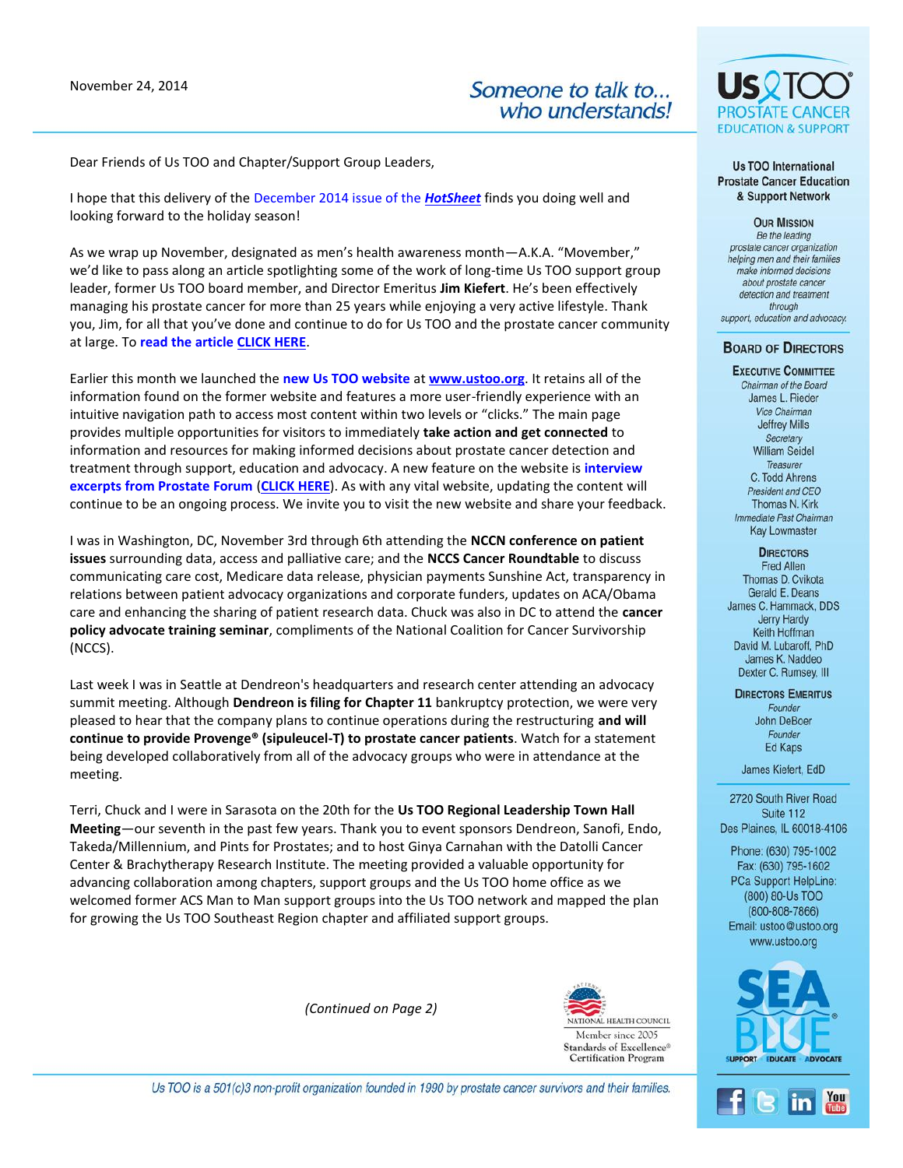November 24, 2014

Someone to talk to... who understands!

Dear Friends of Us TOO and Chapter/Support Group Leaders,

I hope that this delivery of the December 2014 issue of the *[HotSheet](http://www.ustoo.org/PDFs/HotSheets/HotSheet122014.pdf)* finds you doing well and looking forward to the holiday season!

As we wrap up November, designated as men's health awareness month—A.K.A. "Movember," we'd like to pass along an article spotlighting some of the work of long-time Us TOO support group leader, former Us TOO board member, and Director Emeritus **Jim Kiefert**. He's been effectively managing his prostate cancer for more than 25 years while enjoying a very active lifestyle. Thank you, Jim, for all that you've done and continue to do for Us TOO and the prostate cancer community at large. To **read the article [CLICK HERE](http://www.ustooevents.org/site/R?i=v2QKEb1mfC03NrHvDWDNXA)**.

Earlier this month we launched the **new Us TOO website** at **[www.ustoo.org](http://www.ustooevents.org/site/R?i=nduYoc0TmJ_TxSq9Gelj5w)**. It retains all of the information found on the former website and features a more user-friendly experience with an intuitive navigation path to access most content within two levels or "clicks." The main page provides multiple opportunities for visitors to immediately **take action and get connected** to information and resources for making informed decisions about prostate cancer detection and treatment through support, education and advocacy. A new feature on the website is **interview excerpts from Prostate Forum** (**[CLICK HERE](http://www.ustooevents.org/site/R?i=VQsqhZ4n4SkeR4NaDszjzw)**). As with any vital website, updating the content will continue to be an ongoing process. We invite you to visit the new website and share your feedback.

I was in Washington, DC, November 3rd through 6th attending the **NCCN conference on patient issues** surrounding data, access and palliative care; and the **NCCS Cancer Roundtable** to discuss communicating care cost, Medicare data release, physician payments Sunshine Act, transparency in relations between patient advocacy organizations and corporate funders, updates on ACA/Obama care and enhancing the sharing of patient research data. Chuck was also in DC to attend the **cancer policy advocate training seminar**, compliments of the National Coalition for Cancer Survivorship (NCCS).

Last week I was in Seattle at Dendreon's headquarters and research center attending an advocacy summit meeting. Although **Dendreon is filing for Chapter 11** bankruptcy protection, we were very pleased to hear that the company plans to continue operations during the restructuring **and will continue to provide Provenge® (sipuleucel-T) to prostate cancer patients**. Watch for a statement being developed collaboratively from all of the advocacy groups who were in attendance at the meeting.

Terri, Chuck and I were in Sarasota on the 20th for the **Us TOO Regional Leadership Town Hall Meeting**—our seventh in the past few years. Thank you to event sponsors Dendreon, Sanofi, Endo, Takeda/Millennium, and Pints for Prostates; and to host Ginya Carnahan with the Datolli Cancer Center & Brachytherapy Research Institute. The meeting provided a valuable opportunity for advancing collaboration among chapters, support groups and the Us TOO home office as we welcomed former ACS Man to Man support groups into the Us TOO network and mapped the plan for growing the Us TOO Southeast Region chapter and affiliated support groups.

*(Continued on Page 2)*



NATIONAL HEALTH COUNCIL Member since 2005 Standards of Excellence® **Certification Program** 



Fax: (630) 795-1602 PCa Support HelpLine: (800) 80-Us TOO  $(800 - 808 - 7866)$ 

Email: ustoo@ustoo.org www.ustoo.org



US01 **EDUCATION & SUPPORT** 

Us TOO International **Prostate Cancer Education** & Support Network

**OUR MISSION** Be the leading prostate cancer organization helping men and their families make informed decisions about prostate cancer detection and treatment through support, education and advocacy.

## **BOARD OF DIRECTORS**

## **EXECUTIVE COMMITTEE** Chairman of the Board James L. Rieder Vice Chairman **Jeffrey Mills** Secretary **William Seidel** Treasurer C. Todd Ahrens President and CEO Thomas N. Kirk Immediate Past Chairman **Kay Lowmaster**

**DIRECTORS** 

Fred Allen Thomas D. Cvikota Gerald E. Deans James C. Hammack, DDS Jerry Hardy Keith Hoffman David M. Lubaroff, PhD James K. Naddeo Dexter C. Rumsey, III

**DIRECTORS EMERITUS** Founder John DeBoer Founder Ed Kaps

James Kiefert, EdD

2720 South River Road Suite 112 Des Plaines, IL 60018-4106

Phone: (630) 795-1002

EDUCATE

Us TOO is a 501(c)3 non-profit organization founded in 1990 by prostate cancer survivors and their families.